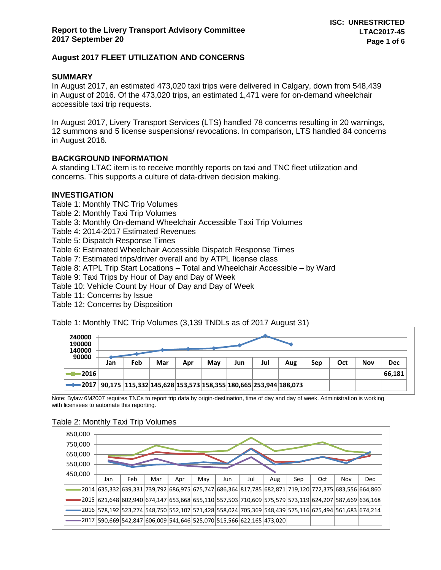## **SUMMARY**

In August 2017, an estimated 473,020 taxi trips were delivered in Calgary, down from 548,439 in August of 2016. Of the 473,020 trips, an estimated 1,471 were for on-demand wheelchair accessible taxi trip requests.

In August 2017, Livery Transport Services (LTS) handled 78 concerns resulting in 20 warnings, 12 summons and 5 license suspensions/ revocations. In comparison, LTS handled 84 concerns in August 2016.

## **BACKGROUND INFORMATION**

A standing LTAC item is to receive monthly reports on taxi and TNC fleet utilization and concerns. This supports a culture of data-driven decision making.

#### **INVESTIGATION**

Table 1: Monthly TNC Trip Volumes Table 2: Monthly Taxi Trip Volumes Table 3: Monthly On-demand Wheelchair Accessible Taxi Trip Volumes Table 4: 2014-2017 Estimated Revenues Table 5: Dispatch Response Times Table 6: Estimated Wheelchair Accessible Dispatch Response Times Table 7: Estimated trips/driver overall and by ATPL license class Table 8: ATPL Trip Start Locations – Total and Wheelchair Accessible – by Ward Table 9: Taxi Trips by Hour of Day and Day of Week Table 10: Vehicle Count by Hour of Day and Day of Week

Table 11: Concerns by Issue

Table 12: Concerns by Disposition

Table 1: Monthly TNC Trip Volumes (3,139 TNDLs as of 2017 August 31)

| 240000                                                                         |     |     |     |     |     |     |     |     |     |     |     |        |  |  |
|--------------------------------------------------------------------------------|-----|-----|-----|-----|-----|-----|-----|-----|-----|-----|-----|--------|--|--|
| 190000<br>140000                                                               |     |     |     |     |     |     |     |     |     |     |     |        |  |  |
| 90000                                                                          | Jan | Feb | Mar | Apr | Mav | Jun | Jul | Aug | Sep | Oct | Nov | Dec    |  |  |
| -2016                                                                          |     |     |     |     |     |     |     |     |     |     |     | 66,181 |  |  |
| ◆ 2017   90,175  115,332  145,628  153,573  158,355  180,665  253,944  188,073 |     |     |     |     |     |     |     |     |     |     |     |        |  |  |

Note: Bylaw 6M2007 requires TNCs to report trip data by origin-destination, time of day and day of week. Administration is working with licensees to automate this reporting.

#### Table 2: Monthly Taxi Trip Volumes

| 850,000<br>750,000<br>650,000<br>550,000 |     |     |                                                                                                      |     |     |     |     |     |     |     |     |                                                                                                      |
|------------------------------------------|-----|-----|------------------------------------------------------------------------------------------------------|-----|-----|-----|-----|-----|-----|-----|-----|------------------------------------------------------------------------------------------------------|
| 450,000                                  | Jan | Feb | Mar                                                                                                  | Apr | May | Jun | Jul | Aug | Sep | Oct | Nov | <b>Dec</b>                                                                                           |
|                                          |     |     |                                                                                                      |     |     |     |     |     |     |     |     | 2014 635,332 639,331 739,792 686,975 675,747 686,364 817,785 682,871 719,120 772,375 683,556 664,860 |
|                                          |     |     | 2015 621,648 602,940 674,147 653,668 655,110 557,503 710,609 575,579 573,119 624,207 587,669 636,168 |     |     |     |     |     |     |     |     |                                                                                                      |
|                                          |     |     | 2016 578,192 523,274 548,750 552,107 571,428 558,024 705,369 548,439 575,116 625,494 561,683 674,214 |     |     |     |     |     |     |     |     |                                                                                                      |
|                                          |     |     | 2017 590,669 542,847 606,009 541,646 525,070 515,566 622,165 473,020                                 |     |     |     |     |     |     |     |     |                                                                                                      |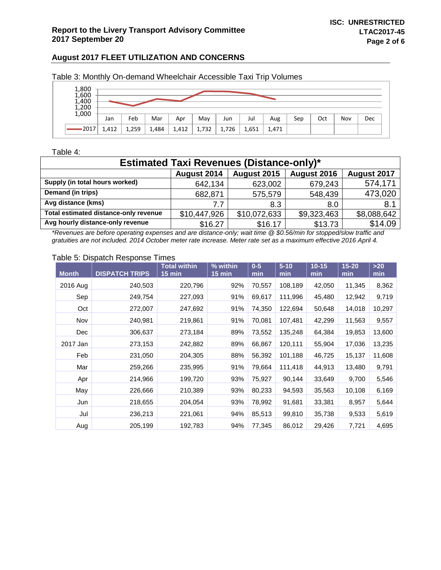| 1,800<br>1,600<br>1,400<br>$1,200$<br>$1,000$ |       |       |       |       |       |       |       |       |     |     |     |     |
|-----------------------------------------------|-------|-------|-------|-------|-------|-------|-------|-------|-----|-----|-----|-----|
|                                               | Jan   | Feb   | Mar   | Apr   | May   | Jun   | Jul   | Aug   | Sep | Oct | Nov | Dec |
| •2017                                         | 1,412 | 1,259 | 1,484 | 1,412 | 1,732 | 1,726 | 1,651 | 1,471 |     |     |     |     |

Table 3: Monthly On-demand Wheelchair Accessible Taxi Trip Volumes

#### Table 4:

| <b>Estimated Taxi Revenues (Distance-only)*</b>          |              |              |             |             |  |  |  |  |  |  |  |
|----------------------------------------------------------|--------------|--------------|-------------|-------------|--|--|--|--|--|--|--|
| August 2014<br>August 2015<br>August 2016<br>August 2017 |              |              |             |             |  |  |  |  |  |  |  |
| Supply (in total hours worked)                           | 642,134      | 623,002      | 679,243     | 574,171     |  |  |  |  |  |  |  |
| Demand (in trips)                                        | 682,871      | 575,579      | 548,439     | 473,020     |  |  |  |  |  |  |  |
| Avg distance (kms)                                       | 7.7          | 8.3          | 8.0         | 8.1         |  |  |  |  |  |  |  |
| Total estimated distance-only revenue                    | \$10,447,926 | \$10,072,633 | \$9,323,463 | \$8,088,642 |  |  |  |  |  |  |  |
| Avg hourly distance-only revenue                         | \$16.27      | \$16.17      | \$13.73     | \$14.09     |  |  |  |  |  |  |  |

*\*Revenues are before operating expenses and are distance-only; wait time @ \$0.56/min for stopped/slow traffic and gratuities are not included. 2014 October meter rate increase. Meter rate set as a maximum effective 2016 April 4.*

### Table 5: Dispatch Response Times

| <b>Month</b> | <b>DISPATCH TRIPS</b> | <b>Total within</b><br>$15$ min | % within<br>$15$ min | $0-5$<br>min | $5 - 10$<br>min | $10 - 15$<br>min | $15 - 20$<br>min | $>20$<br>min |
|--------------|-----------------------|---------------------------------|----------------------|--------------|-----------------|------------------|------------------|--------------|
| 2016 Aug     | 240,503               | 220,796                         | 92%                  | 70,557       | 108,189         | 42,050           | 11,345           | 8,362        |
| Sep          | 249,754               | 227,093                         | 91%                  | 69,617       | 111,996         | 45,480           | 12,942           | 9,719        |
| Oct          | 272,007               | 247,692                         | 91%                  | 74,350       | 122,694         | 50,648           | 14,018           | 10,297       |
| Nov          | 240,981               | 219,861                         | 91%                  | 70,081       | 107,481         | 42,299           | 11,563           | 9,557        |
| Dec          | 306,637               | 273,184                         | 89%                  | 73,552       | 135,248         | 64,384           | 19,853           | 13,600       |
| 2017 Jan     | 273,153               | 242,882                         | 89%                  | 66,867       | 120,111         | 55,904           | 17,036           | 13,235       |
| Feb          | 231,050               | 204,305                         | 88%                  | 56,392       | 101,188         | 46,725           | 15,137           | 11,608       |
| Mar          | 259,266               | 235,995                         | 91%                  | 79,664       | 111,418         | 44,913           | 13,480           | 9,791        |
| Apr          | 214,966               | 199,720                         | 93%                  | 75,927       | 90,144          | 33,649           | 9,700            | 5,546        |
| May          | 226,666               | 210,389                         | 93%                  | 80,233       | 94,593          | 35,563           | 10,108           | 6,169        |
| Jun          | 218,655               | 204,054                         | 93%                  | 78,992       | 91,681          | 33,381           | 8,957            | 5,644        |
| Jul          | 236,213               | 221,061                         | 94%                  | 85,513       | 99,810          | 35,738           | 9,533            | 5,619        |
| Aug          | 205,199               | 192,783                         | 94%                  | 77,345       | 86,012          | 29,426           | 7,721            | 4,695        |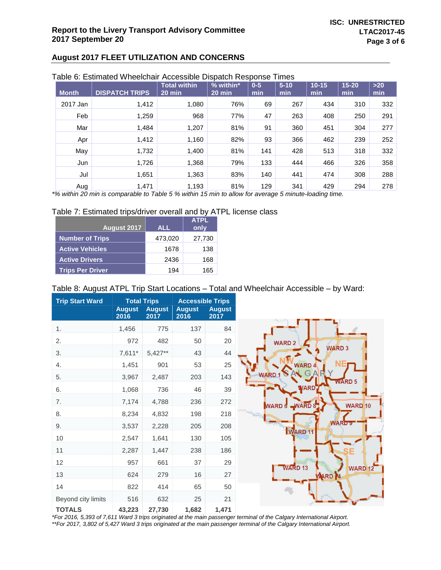| Table 6: Estimated Wheelchair Accessible Dispatch Response Times |
|------------------------------------------------------------------|
|------------------------------------------------------------------|

| <b>Month</b>          | <b>DISPATCH TRIPS</b> | <b>Total within</b><br>$20$ min | $%$ within*<br>20 min | $0-5$<br>min | $5 - 10$<br>min | $10 - 15$<br>min | $15 - 20$<br>min | $>20$<br>min |
|-----------------------|-----------------------|---------------------------------|-----------------------|--------------|-----------------|------------------|------------------|--------------|
| 2017 Jan              | 1,412                 | 1,080                           | 76%                   | 69           | 267             | 434              | 310              | 332          |
| Feb                   | 1,259                 | 968                             | 77%                   | 47           | 263             | 408              | 250              | 291          |
| Mar                   | 1,484                 | 1,207                           | 81%                   | 91           | 360             | 451              | 304              | 277          |
| Apr                   | 1,412                 | 1,160                           | 82%                   | 93           | 366             | 462              | 239              | 252          |
| May                   | 1,732                 | 1,400                           | 81%                   | 141          | 428             | 513              | 318              | 332          |
| Jun                   | 1,726                 | 1,368                           | 79%                   | 133          | 444             | 466              | 326              | 358          |
| Jul                   | 1,651                 | 1,363                           | 83%                   | 140          | 441             | 474              | 308              | 288          |
| Aug<br>*** *** ** *** | 1.471                 | 1,193                           | 81%                   | 129          | 341             | 429              | 294              | 278          |

*\*% within 20 min is comparable to Table 5 % within 15 min to allow for average 5 minute-loading time.*

#### Table 7: Estimated trips/driver overall and by ATPL license class

|                         |            | <b>ATPL</b> |
|-------------------------|------------|-------------|
| August 2017             | <b>ALL</b> | only        |
| <b>Number of Trips</b>  | 473,020    | 27,730      |
| <b>Active Vehicles</b>  | 1678       | 138         |
| <b>Active Drivers</b>   | 2436       | 168         |
| <b>Trips Per Driver</b> | 194        | 165         |

# Table 8: August ATPL Trip Start Locations – Total and Wheelchair Accessible – by Ward:

| <b>Trip Start Ward</b> | <b>August</b> | <b>Total Trips</b><br><b>August</b> | <b>Accessible Trips</b><br><b>August</b> | <b>August</b> |
|------------------------|---------------|-------------------------------------|------------------------------------------|---------------|
|                        | 2016          | 2017                                | 2016                                     | 2017          |
| 1.                     | 1,456         | 775                                 | 137                                      | 84            |
| 2.                     | 972           | 482                                 | 50                                       | 20            |
| 3.                     | $7,611*$      | $5,427**$                           | 43                                       | 44            |
| 4.                     | 1,451         | 901                                 | 53                                       | 25            |
| 5.                     | 3,967         | 2,487                               | 203                                      | 143           |
| 6.                     | 1,068         | 736                                 | 46                                       | 39            |
| 7.                     | 7,174         | 4,788                               | 236                                      | 272           |
| 8.                     | 8,234         | 4,832                               | 198                                      | 218           |
| 9.                     | 3,537         | 2,228                               | 205                                      | 208           |
| 10                     | 2,547         | 1,641                               | 130                                      | 105           |
| 11                     | 2,287         | 1,447                               | 238                                      | 186           |
| 12                     | 957           | 661                                 | 37                                       | 29            |
| 13                     | 624           | 279                                 | 16                                       | 27            |
| 14                     | 822           | 414                                 | 65                                       | 50            |
| Beyond city limits     | 516           | 632                                 | 25                                       | 21            |
| <b>TOTALS</b>          | 43,223        | 27,730                              | 1,682                                    | 1,471         |

*\*For 2016, 5,393 of 7,611 Ward 3 trips originated at the main passenger terminal of the Calgary International Airport. \*\*For 2017, 3,802 of 5,427 Ward 3 trips originated at the main passenger terminal of the Calgary International Airport.*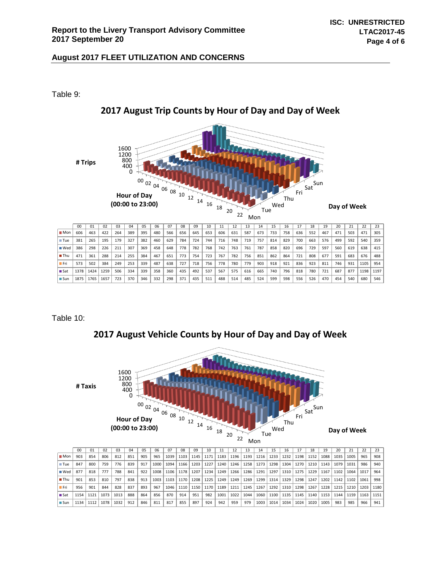Table 9:



# **2017 August Trip Counts by Hour of Day and Day of Week**

Table 10:

**2017 August Vehicle Counts by Hour of Day and Day of Week**



|                                   | 00   |      | 02   | 03   | 04  | 05  | 06   | 07   | 08   | 09   | 10   |      | 12   | 13   | 14                   | 15   | 16     |      | 18   |      | 20   |      | 22   | 23   |
|-----------------------------------|------|------|------|------|-----|-----|------|------|------|------|------|------|------|------|----------------------|------|--------|------|------|------|------|------|------|------|
| $\blacksquare$ Mon $\blacksquare$ | 903  | 854  | 806  | 812  | 851 | 905 | 965  | 1039 | 1103 | 1145 | 1171 | 1183 | 1196 | 1193 | 1216                 | 1233 | 1232   | 1198 | 1152 | 1088 | 1035 | 1005 | 965  | 908  |
| $r = T$ Tue                       | 847  | 800  | 759  | 776  | 839 | 917 | 1000 | 1094 | 1166 | 1203 | 1227 | 1240 | 1246 | 1258 | 1273                 | 1298 | 1304   | 1270 | 1210 | 1143 | 1079 | 1031 | 986  | 940  |
| $\blacksquare$ Wed                | 877  | 818  | 777  | 788  | 841 | 922 | 1008 | 1106 | 1178 | 1207 | 1234 | 1249 | 1266 | 1286 | 1291                 | 1297 | $1310$ | 1275 | 1229 | 1167 | 1102 | 1064 | 1017 | 964  |
| $\blacksquare$ Thu                | 901  | 853  | 810  | 797  | 838 | 913 | 1003 | 1103 | 1170 | 1208 | 1225 | 1249 | 1249 | 1269 | $-1299$ <sup>1</sup> | 1314 | 1329   | 1298 | 1247 | 1202 | 1142 | 1102 | 1061 | 998  |
| - Fri                             | 956  | 901  | 844  | 828  | 837 | 893 | 967  | 1046 | 1110 | 1150 | 1170 | 1189 | 1211 | 1245 | 1267                 | 1292 | 1310   | 1298 | 1267 | 1228 | 1215 | 1210 | 1203 | 1180 |
| ∎ Sat                             | 1154 | 1121 | 1073 | 1013 | 888 | 864 | 856  | 870  | 914  | 951  | 982  | 1001 | 1022 | 1044 | 1060                 | 1100 | 1135   | 1145 | 1140 | 1153 | 1144 | 1159 | 1163 | 1151 |
| ■Sun                              | 1134 | 1112 | 1078 | 1032 | 912 | 846 | 811  | 817  | 855  | 897  | 924  | 942  | 959  | 979  | 1003                 | 1014 | 1034   | 1024 | 1020 | 1005 | 983  | 985  | 966  | 941  |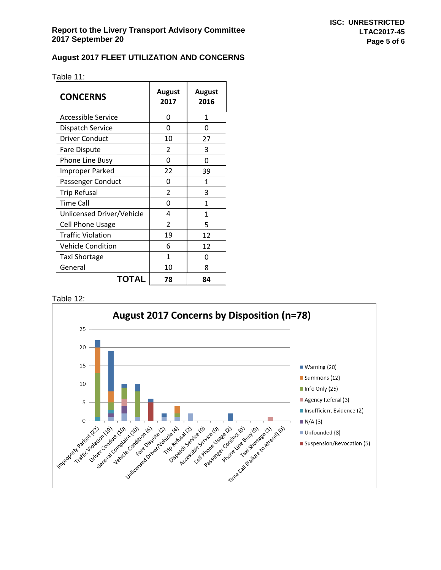|  | Table 11: |  |  |
|--|-----------|--|--|
|  |           |  |  |

| <b>CONCERNS</b>           | August<br>2017 | August<br>2016 |
|---------------------------|----------------|----------------|
| <b>Accessible Service</b> | 0              | 1              |
| <b>Dispatch Service</b>   | U              | ŋ              |
| <b>Driver Conduct</b>     | 10             | 27             |
| Fare Dispute              | $\mathfrak z$  | 3              |
| <b>Phone Line Busy</b>    | O              | O              |
| <b>Improper Parked</b>    | 22             | 39             |
| Passenger Conduct         | ი              | 1              |
| <b>Trip Refusal</b>       | $\mathfrak z$  | 3              |
| <b>Time Call</b>          | 0              | 1              |
| Unlicensed Driver/Vehicle | 4              | 1              |
| <b>Cell Phone Usage</b>   | $\overline{2}$ | 5              |
| <b>Traffic Violation</b>  | 19             | 12             |
| <b>Vehicle Condition</b>  | 6              | 12             |
| <b>Taxi Shortage</b>      | 1              | 0              |
| General                   | 10             | 8              |
| <b>TOTAL</b>              | 78             | 84             |

Table 12: